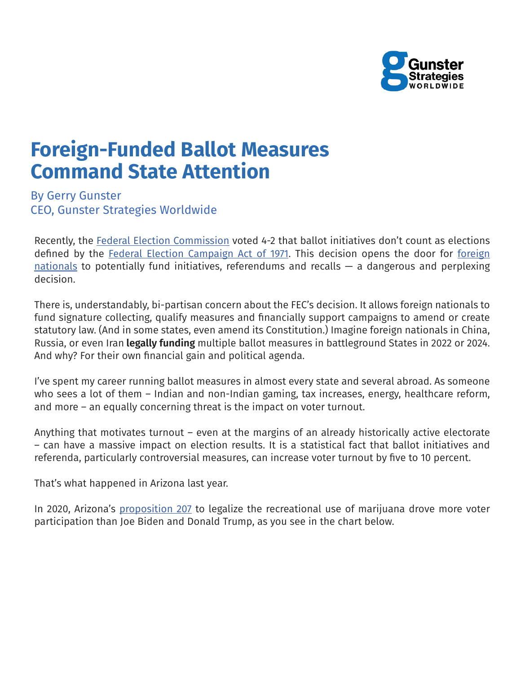

## **Foreign-Funded Ballot Measures Command State Attention**

By Gerry Gunster CEO, Gunster Strategies Worldwide

Recently, the Federal Election Commission voted 4-2 that ballot initiatives don't count as elections defined by the Federal Election Campaign Act of 1971. This decision opens the door for foreign nationals to potentially fund initiatives, referendums and recalls  $-$  a dangerous and perplexing decision.

There is, understandably, bi-partisan concern about the FEC's decision. It allows foreign nationals to fund signature collecting, qualify measures and financially support campaigns to amend or create statutory law. (And in some states, even amend its Constitution.) Imagine foreign nationals in China, Russia, or even Iran **legally funding** multiple ballot measures in battleground States in 2022 or 2024. And why? For their own financial gain and political agenda.

I've spent my career running ballot measures in almost every state and several abroad. As someone who sees a lot of them – Indian and non-Indian gaming, tax increases, energy, healthcare reform, and more – an equally concerning threat is the impact on voter turnout.

Anything that motivates turnout – even at the margins of an already historically active electorate – can have a massive impact on election results. It is a statistical fact that ballot initiatives and referenda, particularly controversial measures, can increase voter turnout by five to 10 percent.

That's what happened in Arizona last year.

In 2020, Arizona's proposition 207 to legalize the recreational use of marijuana drove more voter participation than Joe Biden and Donald Trump, as you see in the chart below.